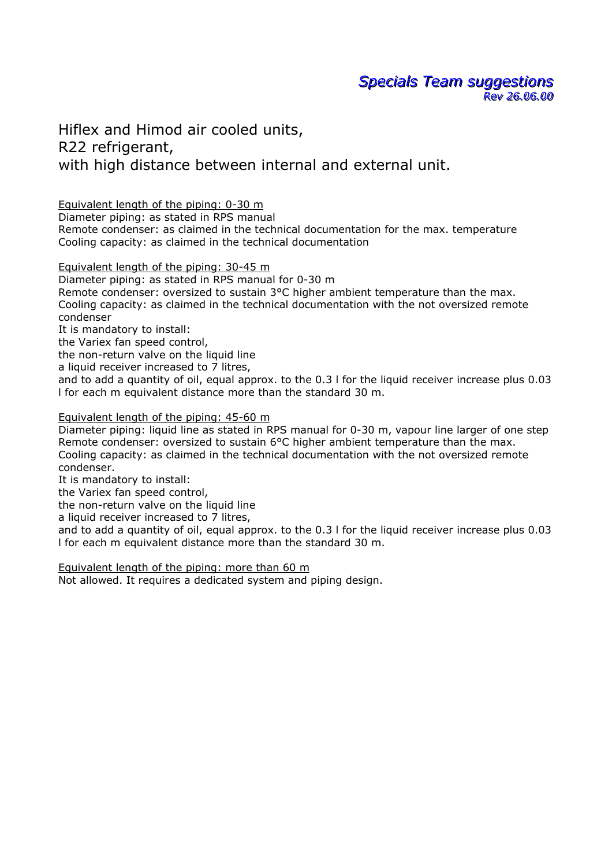**Specials Team suggestions**  $R$ ev 26.06.00

Hiflex and Himod air cooled units, R22 refrigerant, with high distance between internal and external unit.

Equivalent length of the piping: 0-30 m

Diameter piping: as stated in RPS manual

Remote condenser: as claimed in the technical documentation for the max. temperature Cooling capacity: as claimed in the technical documentation

Equivalent length of the piping: 30-45 m

Diameter piping: as stated in RPS manual for 0-30 m Remote condenser: oversized to sustain 3°C higher ambient temperature than the max. Cooling capacity: as claimed in the technical documentation with the not oversized remote condenser

It is mandatory to install:

the Variex fan speed control,

the non-return valve on the liquid line

a liquid receiver increased to 7 litres,

and to add a quantity of oil, equal approx. to the 0.3 l for the liquid receiver increase plus 0.03 l for each m equivalent distance more than the standard 30 m.

## Equivalent length of the piping: 45-60 m

Diameter piping: liquid line as stated in RPS manual for 0-30 m, vapour line larger of one step Remote condenser: oversized to sustain 6°C higher ambient temperature than the max. Cooling capacity: as claimed in the technical documentation with the not oversized remote condenser.

It is mandatory to install:

the Variex fan speed control,

the non-return valve on the liquid line

a liquid receiver increased to 7 litres,

and to add a quantity of oil, equal approx. to the 0.3 l for the liquid receiver increase plus 0.03 l for each m equivalent distance more than the standard 30 m.

Equivalent length of the piping: more than 60 m Not allowed. It requires a dedicated system and piping design.